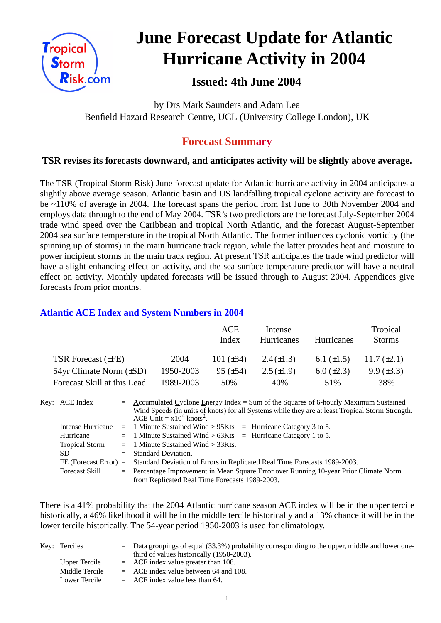

# **June Forecast Update for Atlantic Hurricane Activity in 2004**

# **Issued: 4th June 2004**

by Drs Mark Saunders and Adam Lea Benfield Hazard Research Centre, UCL (University College London), UK

## **Forecast Summary**

### **TSR revises its forecasts downward, and anticipates activity will be slightly above average.**

The TSR (Tropical Storm Risk) June forecast update for Atlantic hurricane activity in 2004 anticipates a slightly above average season. Atlantic basin and US landfalling tropical cyclone activity are forecast to be ~110% of average in 2004. The forecast spans the period from 1st June to 30th November 2004 and employs data through to the end of May 2004. TSR's two predictors are the forecast July-September 2004 trade wind speed over the Caribbean and tropical North Atlantic, and the forecast August-September 2004 sea surface temperature in the tropical North Atlantic. The former influences cyclonic vorticity (the spinning up of storms) in the main hurricane track region, while the latter provides heat and moisture to power incipient storms in the main track region. At present TSR anticipates the trade wind predictor will have a slight enhancing effect on activity, and the sea surface temperature predictor will have a neutral effect on activity. Monthly updated forecasts will be issued through to August 2004. Appendices give forecasts from prior months.

#### **Atlantic ACE Index and System Numbers in 2004**

|                                |           | ACE<br>Index    | Intense<br>Hurricanes | Hurricanes        | Tropical<br><b>Storms</b> |
|--------------------------------|-----------|-----------------|-----------------------|-------------------|---------------------------|
| TSR Forecast $(\pm FE)$        | 2004      | 101 $(\pm 34)$  | $2.4(\pm 1.3)$        | 6.1 $(\pm 1.5)$   | 11.7 $(\pm 2.1)$          |
| $54yr$ Climate Norm $(\pm SD)$ | 1950-2003 | $95 \ (\pm 54)$ | $2.5(\pm 1.9)$        | $6.0 \ (\pm 2.3)$ | $9.9 \ (\pm 3.3)$         |
| Forecast Skill at this Lead    | 1989-2003 | 50%             | 40%                   | 51%               | 38%                       |

| Key: ACE Index          | $=$ Accumulated Cyclone Energy Index = Sum of the Squares of 6-hourly Maximum Sustained<br>Wind Speeds (in units of knots) for all Systems while they are at least Tropical Storm Strength.<br>ACE Unit = $x10^4$ knots <sup>2</sup> . |  |  |  |  |  |
|-------------------------|----------------------------------------------------------------------------------------------------------------------------------------------------------------------------------------------------------------------------------------|--|--|--|--|--|
|                         | Intense Hurricane = 1 Minute Sustained Wind > $95Kts$ = Hurricane Category 3 to 5.                                                                                                                                                     |  |  |  |  |  |
| Hurricane               | $=$ 1 Minute Sustained Wind > 63Kts $=$ Hurricane Category 1 to 5.                                                                                                                                                                     |  |  |  |  |  |
| <b>Tropical Storm</b>   | $=$ 1 Minute Sustained Wind $>$ 33Kts.                                                                                                                                                                                                 |  |  |  |  |  |
| SD.                     | $=$ Standard Deviation.                                                                                                                                                                                                                |  |  |  |  |  |
| $FE$ (Forecast Error) = | Standard Deviation of Errors in Replicated Real Time Forecasts 1989-2003.                                                                                                                                                              |  |  |  |  |  |
| <b>Forecast Skill</b>   | = Percentage Improvement in Mean Square Error over Running 10-year Prior Climate Norm                                                                                                                                                  |  |  |  |  |  |
|                         | from Replicated Real Time Forecasts 1989-2003.                                                                                                                                                                                         |  |  |  |  |  |

There is a 41% probability that the 2004 Atlantic hurricane season ACE index will be in the upper tercile historically, a 46% likelihood it will be in the middle tercile historically and a 13% chance it will be in the lower tercile historically. The 54-year period 1950-2003 is used for climatology.

| Key: Terciles        | $=$ Data groupings of equal (33.3%) probability corresponding to the upper, middle and lower one-<br>third of values historically (1950-2003). |
|----------------------|------------------------------------------------------------------------------------------------------------------------------------------------|
| <b>Upper Tercile</b> | $=$ ACE index value greater than 108.                                                                                                          |
| Middle Tercile       | $=$ ACE index value between 64 and 108.                                                                                                        |
| Lower Tercile        | $=$ ACE index value less than 64.                                                                                                              |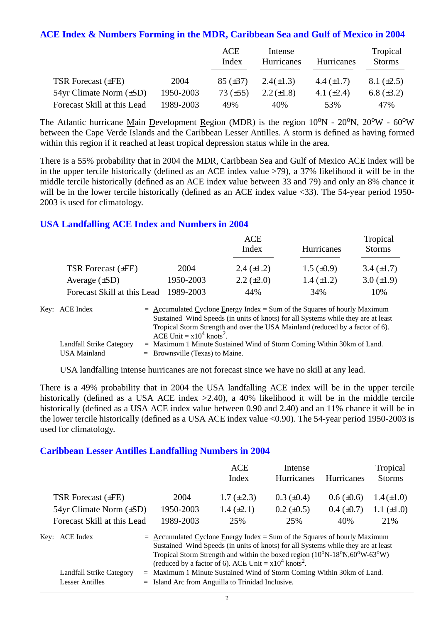#### **ACE Index & Numbers Forming in the MDR, Caribbean Sea and Gulf of Mexico in 2004**

|                             |           | ACE<br>Index  | Intense<br><b>Hurricanes</b> | <b>Hurricanes</b> | Tropical<br><b>Storms</b> |
|-----------------------------|-----------|---------------|------------------------------|-------------------|---------------------------|
| <b>TSR Forecast (±FE)</b>   | 2004      | $85 (\pm 37)$ | $2.4(\pm 1.3)$               | 4.4 $(\pm 1.7)$   | $8.1 (\pm 2.5)$           |
| 54yr Climate Norm (±SD)     | 1950-2003 | 73 $(\pm 55)$ | $2.2 (\pm 1.8)$              | 4.1 $(\pm 2.4)$   | 6.8 $(\pm 3.2)$           |
| Forecast Skill at this Lead | 1989-2003 | 49%           | 40%                          | 53%               | 47%                       |

The Atlantic hurricane Main Development Region (MDR) is the region  $10^{\circ}N - 20^{\circ}N$ ,  $20^{\circ}W - 60^{\circ}W$ between the Cape Verde Islands and the Caribbean Lesser Antilles. A storm is defined as having formed within this region if it reached at least tropical depression status while in the area.

There is a 55% probability that in 2004 the MDR, Caribbean Sea and Gulf of Mexico ACE index will be in the upper tercile historically (defined as an ACE index value >79), a 37% likelihood it will be in the middle tercile historically (defined as an ACE index value between 33 and 79) and only an 8% chance it will be in the lower tercile historically (defined as an ACE index value <33). The 54-year period 1950-2003 is used for climatology.

#### **USA Landfalling ACE Index and Numbers in 2004**

|                                       |           | ACE<br>Index      | Hurricanes        | Tropical<br><b>Storms</b> |  |
|---------------------------------------|-----------|-------------------|-------------------|---------------------------|--|
| TSR Forecast $(\pm FE)$               | 2004      | 2.4 $(\pm 1.2)$   | $1.5 \ (\pm 0.9)$ | $3.4 \ (\pm 1.7)$         |  |
| Average $(\pm SD)$                    | 1950-2003 | $2.2 \ (\pm 2.0)$ | $1.4 \ (\pm 1.2)$ | $3.0 (\pm 1.9)$           |  |
| Forecast Skill at this Lead 1989-2003 |           | 44%               | 34%               | 10%                       |  |

| Key: ACE Index           | $=$ Accumulated Cyclone Energy Index = Sum of the Squares of hourly Maximum       |
|--------------------------|-----------------------------------------------------------------------------------|
|                          | Sustained Wind Speeds (in units of knots) for all Systems while they are at least |
|                          | Tropical Storm Strength and over the USA Mainland (reduced by a factor of 6).     |
|                          | ACE Unit = $x10^4$ knots <sup>2</sup> .                                           |
| Landfall Strike Category | $=$ Maximum 1 Minute Sustained Wind of Storm Coming Within 30km of Land.          |
| USA Mainland             | $=$ Brownsville (Texas) to Maine.                                                 |

USA landfalling intense hurricanes are not forecast since we have no skill at any lead.

There is a 49% probability that in 2004 the USA landfalling ACE index will be in the upper tercile historically (defined as a USA ACE index  $>2.40$ ), a 40% likelihood it will be in the middle tercile historically (defined as a USA ACE index value between 0.90 and 2.40) and an 11% chance it will be in the lower tercile historically (defined as a USA ACE index value <0.90). The 54-year period 1950-2003 is used for climatology.

#### **Caribbean Lesser Antilles Landfalling Numbers in 2004**

|                                 |                                                                                                                                                                                                                                                                                                                             | <b>ACE</b><br>Index                                                  | Intense<br>Hurricanes | Hurricanes      | Tropical<br><b>Storms</b> |  |
|---------------------------------|-----------------------------------------------------------------------------------------------------------------------------------------------------------------------------------------------------------------------------------------------------------------------------------------------------------------------------|----------------------------------------------------------------------|-----------------------|-----------------|---------------------------|--|
| <b>TSR Forecast (±FE)</b>       | 2004                                                                                                                                                                                                                                                                                                                        | $1.7 (\pm 2.3)$                                                      | $0.3 \ (\pm 0.4)$     | $0.6 (\pm 0.6)$ | $1.4(\pm 1.0)$            |  |
| $54yr$ Climate Norm $(\pm SD)$  | 1950-2003                                                                                                                                                                                                                                                                                                                   | $1.4 \ (\pm 2.1)$                                                    | $0.2 \ (\pm 0.5)$     | $0.4~(\pm 0.7)$ | $1.1 (\pm 1.0)$           |  |
| Forecast Skill at this Lead     | 1989-2003                                                                                                                                                                                                                                                                                                                   | 25%                                                                  | 25%                   | 40%             | 21%                       |  |
| Key: ACE Index                  | $=$ Accumulated Cyclone Energy Index = Sum of the Squares of hourly Maximum<br>Sustained Wind Speeds (in units of knots) for all Systems while they are at least<br>Tropical Storm Strength and within the boxed region $(10^0N-18^0N, 60^0W-63^0W)$<br>(reduced by a factor of 6). ACE Unit = $x10^4$ knots <sup>2</sup> . |                                                                      |                       |                 |                           |  |
| Landfall Strike Category<br>$=$ |                                                                                                                                                                                                                                                                                                                             | Maximum 1 Minute Sustained Wind of Storm Coming Within 30km of Land. |                       |                 |                           |  |

Lesser Antilles = Island Arc from Anguilla to Trinidad Inclusive.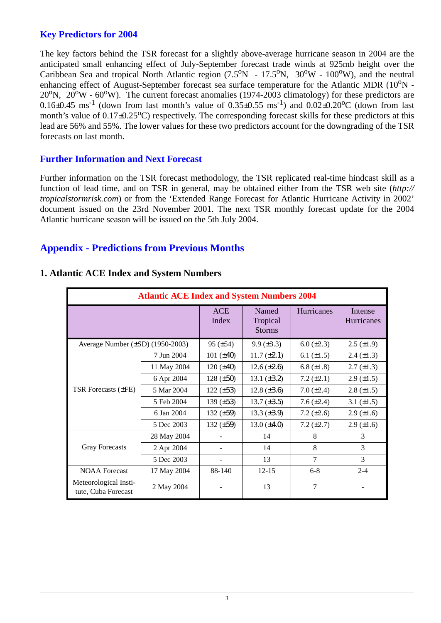#### **Key Predictors for 2004**

The key factors behind the TSR forecast for a slightly above-average hurricane season in 2004 are the anticipated small enhancing effect of July-September forecast trade winds at 925mb height over the Caribbean Sea and tropical North Atlantic region  $(7.5^{\circ}N - 17.5^{\circ}N, 30^{\circ}W - 100^{\circ}W)$ , and the neutral enhancing effect of August-September forecast sea surface temperature for the Atlantic MDR  $(10^{\circ}N 20^{\circ}$ N,  $20^{\circ}$ W -  $60^{\circ}$ W). The current forecast anomalies (1974-2003 climatology) for these predictors are  $0.16\pm0.45$  ms<sup>-1</sup> (down from last month's value of  $0.35\pm0.55$  ms<sup>-1</sup>) and  $0.02\pm0.20$ <sup>o</sup>C (down from last month's value of  $0.17\pm0.25^{\circ}$ C) respectively. The corresponding forecast skills for these predictors at this lead are 56% and 55%. The lower values for these two predictors account for the downgrading of the TSR forecasts on last month.

#### **Further Information and Next Forecast**

Further information on the TSR forecast methodology, the TSR replicated real-time hindcast skill as a function of lead time, and on TSR in general, may be obtained either from the TSR web site (*http:// tropicalstormrisk.com*) or from the 'Extended Range Forecast for Atlantic Hurricane Activity in 2002' document issued on the 23rd November 2001. The next TSR monthly forecast update for the 2004 Atlantic hurricane season will be issued on the 5th July 2004.

### **Appendix - Predictions from Previous Months**

|                                              | <b>Atlantic ACE Index and System Numbers 2004</b> |                     |                                    |                 |                              |  |  |  |  |
|----------------------------------------------|---------------------------------------------------|---------------------|------------------------------------|-----------------|------------------------------|--|--|--|--|
|                                              |                                                   | <b>ACE</b><br>Index | Named<br>Tropical<br><b>Storms</b> | Hurricanes      | Intense<br><b>Hurricanes</b> |  |  |  |  |
| Average Number $(\pm SD)$ (1950-2003)        |                                                   | $95 (\pm 54)$       | $9.9 \ (\pm 3.3)$                  | 6.0 $(\pm 2.3)$ | $2.5 \ (\pm 1.9)$            |  |  |  |  |
| <b>TSR Forecasts (±FE)</b>                   | 7 Jun 2004                                        | 101 $(\pm 40)$      | $11.7 (\pm 2.1)$                   | 6.1 $(\pm 1.5)$ | $2.4 \ (\pm 1.3)$            |  |  |  |  |
|                                              | 11 May 2004                                       | $120 (\pm 40)$      | 12.6 $(\pm 2.6)$                   | 6.8 $(\pm 1.8)$ | $2.7 \ (\pm 1.3)$            |  |  |  |  |
|                                              | 6 Apr 2004                                        | $128 (\pm 50)$      | 13.1 $(\pm 3.2)$                   | 7.2 $(\pm 2.1)$ | $2.9 \ (\pm 1.5)$            |  |  |  |  |
|                                              | 5 Mar 2004                                        | $122 (\pm 53)$      | $12.8 (\pm 3.6)$                   | $7.0 (\pm 2.4)$ | $2.8 (\pm 1.5)$              |  |  |  |  |
|                                              | 5 Feb 2004                                        | 139 $(\pm 53)$      | $13.7 (\pm 3.5)$                   | 7.6 $(\pm 2.4)$ | 3.1 $(\pm 1.5)$              |  |  |  |  |
|                                              | 6 Jan 2004                                        | 132 $(\pm 59)$      | 13.3 $(\pm 3.9)$                   | 7.2 $(\pm 2.6)$ | $2.9 \ (\pm 1.6)$            |  |  |  |  |
|                                              | 5 Dec 2003                                        | 132 $(\pm 59)$      | 13.0 $(\pm 4.0)$                   | $7.2 (\pm 2.7)$ | $2.9 \ (\pm 1.6)$            |  |  |  |  |
|                                              | 28 May 2004                                       |                     | 14                                 | 8               | 3                            |  |  |  |  |
| <b>Gray Forecasts</b>                        | 2 Apr 2004                                        |                     | 14                                 | 8               | 3                            |  |  |  |  |
|                                              | 5 Dec 2003                                        |                     | 13                                 | 7               | 3                            |  |  |  |  |
| <b>NOAA</b> Forecast                         | 17 May 2004                                       | 88-140              | $12 - 15$                          | $6 - 8$         | $2 - 4$                      |  |  |  |  |
| Meteorological Insti-<br>tute, Cuba Forecast | 2 May 2004                                        |                     | 13                                 | 7               |                              |  |  |  |  |

#### **1. Atlantic ACE Index and System Numbers**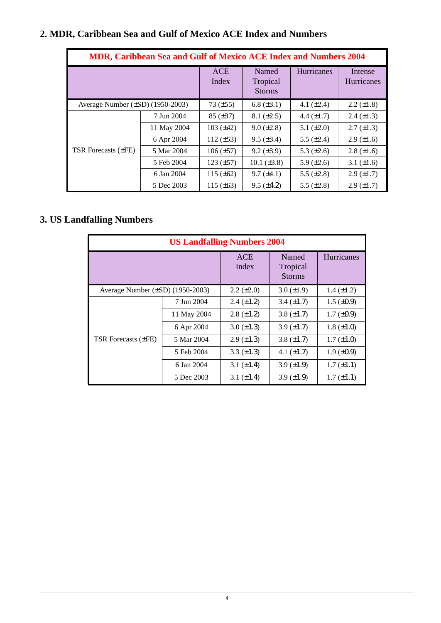| Average Number (±SD) (1950-2003)<br>6.8 $(\pm 3.1)$<br>4.1 $(\pm 2.4)$<br>73 $(\pm 55)$<br>7 Jun 2004<br>$85 (\pm 37)$<br>$8.1 (\pm 2.5)$<br>4.4 $(\pm 1.7)$<br>11 May 2004<br>103 $(\pm 42)$<br>$9.0 (\pm 2.8)$<br>5.1 $(\pm 2.0)$<br>6 Apr 2004<br>$9.5 (\pm 3.4)$<br>112 $(\pm 53)$<br>5.5 $(\pm 2.4)$<br>5 Mar 2004<br>$106 (\pm 57)$<br>$9.2 (\pm 3.9)$<br>5.3 $(\pm 2.6)$<br>5 Feb 2004<br>123 $(\pm 57)$<br>10.1 $(\pm 3.8)$<br>5.9 $(\pm 2.6)$<br>6 Jan 2004<br>115 $(\pm 62)$<br>$9.7 (\pm 4.1)$<br>5.5 $(\pm 2.8)$<br>5 Dec 2003<br>115 $(\pm 63)$<br>$9.5 (\pm 4.2)$<br>5.5 $(\pm 2.8)$<br><b>US Landfalling Numbers 2004</b><br>Hurricanes<br><b>ACE</b><br>Named<br>Index<br>Tropical<br><b>Storms</b><br>Average Number (±SD) (1950-2003)<br>$1.4 (\pm 1.2)$<br>$2.2 (\pm 2.0)$<br>$3.0 (\pm 1.9)$<br>7 Jun 2004<br>$1.5 \ (\pm 0.9)$<br>$2.4 (\pm 1.2)$<br>3.4 $(\pm 1.7)$<br>11 May 2004<br>$2.8 (\pm 1.2)$<br>$1.7 (\pm 0.9)$<br>3.8 $(\pm 1.7)$<br>6 Apr 2004<br>$3.0 (\pm 1.3)$<br>3.9 $(\pm 1.7)$<br>$1.8 (\pm 1.0)$<br>TSR Forecasts (±FE)<br>5 Mar 2004<br>$2.9 \ (\pm 1.3)$<br>3.8 $(\pm 1.7)$<br>$1.7 (\pm 1.0)$<br>5 Feb 2004<br>3.3 $(\pm 1.3)$<br>4.1 $(\pm 1.7)$<br>$1.9 \ (\pm 0.9)$ |  |  |            | <b>ACE</b><br>Index | Named<br>Tropical<br><b>Storms</b> |                 | Hurricanes |                 | Intense<br>Hurricanes |
|-------------------------------------------------------------------------------------------------------------------------------------------------------------------------------------------------------------------------------------------------------------------------------------------------------------------------------------------------------------------------------------------------------------------------------------------------------------------------------------------------------------------------------------------------------------------------------------------------------------------------------------------------------------------------------------------------------------------------------------------------------------------------------------------------------------------------------------------------------------------------------------------------------------------------------------------------------------------------------------------------------------------------------------------------------------------------------------------------------------------------------------------------------------------------------------------------------------------|--|--|------------|---------------------|------------------------------------|-----------------|------------|-----------------|-----------------------|
|                                                                                                                                                                                                                                                                                                                                                                                                                                                                                                                                                                                                                                                                                                                                                                                                                                                                                                                                                                                                                                                                                                                                                                                                                   |  |  |            |                     |                                    |                 |            |                 | $2.2 (\pm 1.8)$       |
|                                                                                                                                                                                                                                                                                                                                                                                                                                                                                                                                                                                                                                                                                                                                                                                                                                                                                                                                                                                                                                                                                                                                                                                                                   |  |  |            |                     |                                    |                 |            |                 | $2.4 (\pm 1.3)$       |
|                                                                                                                                                                                                                                                                                                                                                                                                                                                                                                                                                                                                                                                                                                                                                                                                                                                                                                                                                                                                                                                                                                                                                                                                                   |  |  |            |                     |                                    |                 |            |                 | $2.7 (\pm 1.3)$       |
| TSR Forecasts (±FE)<br><b>3. US Landfalling Numbers</b>                                                                                                                                                                                                                                                                                                                                                                                                                                                                                                                                                                                                                                                                                                                                                                                                                                                                                                                                                                                                                                                                                                                                                           |  |  |            |                     |                                    |                 |            |                 | $2.9 \ (\pm 1.6)$     |
|                                                                                                                                                                                                                                                                                                                                                                                                                                                                                                                                                                                                                                                                                                                                                                                                                                                                                                                                                                                                                                                                                                                                                                                                                   |  |  |            |                     |                                    |                 |            |                 | $2.8 (\pm 1.6)$       |
|                                                                                                                                                                                                                                                                                                                                                                                                                                                                                                                                                                                                                                                                                                                                                                                                                                                                                                                                                                                                                                                                                                                                                                                                                   |  |  |            |                     |                                    |                 |            |                 | 3.1 $(\pm 1.6)$       |
|                                                                                                                                                                                                                                                                                                                                                                                                                                                                                                                                                                                                                                                                                                                                                                                                                                                                                                                                                                                                                                                                                                                                                                                                                   |  |  |            |                     |                                    |                 |            |                 | $2.9 \ (\pm 1.7)$     |
|                                                                                                                                                                                                                                                                                                                                                                                                                                                                                                                                                                                                                                                                                                                                                                                                                                                                                                                                                                                                                                                                                                                                                                                                                   |  |  |            |                     |                                    |                 |            |                 | $2.9 \ (\pm 1.7)$     |
|                                                                                                                                                                                                                                                                                                                                                                                                                                                                                                                                                                                                                                                                                                                                                                                                                                                                                                                                                                                                                                                                                                                                                                                                                   |  |  |            |                     |                                    |                 |            |                 |                       |
|                                                                                                                                                                                                                                                                                                                                                                                                                                                                                                                                                                                                                                                                                                                                                                                                                                                                                                                                                                                                                                                                                                                                                                                                                   |  |  |            |                     |                                    |                 |            |                 |                       |
|                                                                                                                                                                                                                                                                                                                                                                                                                                                                                                                                                                                                                                                                                                                                                                                                                                                                                                                                                                                                                                                                                                                                                                                                                   |  |  |            |                     |                                    |                 |            |                 |                       |
|                                                                                                                                                                                                                                                                                                                                                                                                                                                                                                                                                                                                                                                                                                                                                                                                                                                                                                                                                                                                                                                                                                                                                                                                                   |  |  |            |                     |                                    |                 |            |                 |                       |
|                                                                                                                                                                                                                                                                                                                                                                                                                                                                                                                                                                                                                                                                                                                                                                                                                                                                                                                                                                                                                                                                                                                                                                                                                   |  |  |            |                     |                                    |                 |            |                 |                       |
|                                                                                                                                                                                                                                                                                                                                                                                                                                                                                                                                                                                                                                                                                                                                                                                                                                                                                                                                                                                                                                                                                                                                                                                                                   |  |  |            |                     |                                    |                 |            |                 |                       |
|                                                                                                                                                                                                                                                                                                                                                                                                                                                                                                                                                                                                                                                                                                                                                                                                                                                                                                                                                                                                                                                                                                                                                                                                                   |  |  |            |                     |                                    |                 |            |                 |                       |
|                                                                                                                                                                                                                                                                                                                                                                                                                                                                                                                                                                                                                                                                                                                                                                                                                                                                                                                                                                                                                                                                                                                                                                                                                   |  |  |            |                     |                                    |                 |            |                 |                       |
| 6 Jan 2004<br>3.1 $(\pm 1.4)$<br>$3.9 \, (\pm 1.9)$<br>$1.7 (\pm 1.1)$<br>3.1 $(\pm 1.4)$                                                                                                                                                                                                                                                                                                                                                                                                                                                                                                                                                                                                                                                                                                                                                                                                                                                                                                                                                                                                                                                                                                                         |  |  | 5 Dec 2003 |                     |                                    | 3.9 $(\pm 1.9)$ |            | $1.7 (\pm 1.1)$ |                       |
|                                                                                                                                                                                                                                                                                                                                                                                                                                                                                                                                                                                                                                                                                                                                                                                                                                                                                                                                                                                                                                                                                                                                                                                                                   |  |  |            |                     |                                    |                 |            |                 |                       |

# **3. US Landfalling Numbers**

| <b>US Landfalling Numbers 2004</b>    |             |                     |                                    |                   |  |  |  |  |
|---------------------------------------|-------------|---------------------|------------------------------------|-------------------|--|--|--|--|
|                                       |             | <b>ACE</b><br>Index | Named<br>Tropical<br><b>Storms</b> | Hurricanes        |  |  |  |  |
| Average Number $(\pm SD)$ (1950-2003) |             | $2.2 (\pm 2.0)$     | $3.0 (\pm 1.9)$                    | $1.4 (\pm 1.2)$   |  |  |  |  |
|                                       | 7 Jun 2004  | $2.4 (\pm 1.2)$     | $3.4 (\pm 1.7)$                    | $1.5 \ (\pm 0.9)$ |  |  |  |  |
|                                       | 11 May 2004 | $2.8 (\pm 1.2)$     | 3.8 $(\pm 1.7)$                    | $1.7 \ (\pm 0.9)$ |  |  |  |  |
|                                       | 6 Apr 2004  | $3.0 (\pm 1.3)$     | $3.9 \ (\pm 1.7)$                  | $1.8 (\pm 1.0)$   |  |  |  |  |
| TSR Forecasts (±FE)                   | 5 Mar 2004  | $2.9 \ (\pm 1.3)$   | $3.8 (\pm 1.7)$                    | $1.7 (\pm 1.0)$   |  |  |  |  |
|                                       | 5 Feb 2004  | 3.3 $(\pm 1.3)$     | 4.1 $(\pm 1.7)$                    | $1.9 \ (\pm 0.9)$ |  |  |  |  |
|                                       | 6 Jan 2004  | 3.1 $(\pm 1.4)$     | 3.9 $(\pm 1.9)$                    | $1.7 (\pm 1.1)$   |  |  |  |  |
|                                       | 5 Dec 2003  | 3.1 $(\pm 1.4)$     | $3.9 \ (\pm 1.9)$                  | $1.7 (\pm 1.1)$   |  |  |  |  |